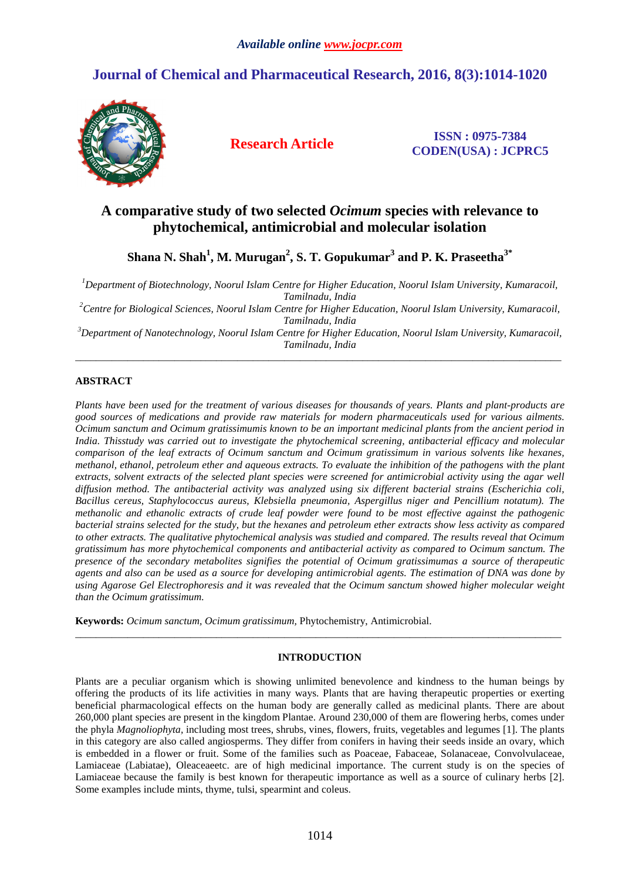# **Journal of Chemical and Pharmaceutical Research, 2016, 8(3):1014-1020**



**Research Article ISSN : 0975-7384 CODEN(USA) : JCPRC5**

# **A comparative study of two selected** *Ocimum* **species with relevance to phytochemical, antimicrobial and molecular isolation**

**Shana N. Shah<sup>1</sup> , M. Murugan<sup>2</sup> , S. T. Gopukumar<sup>3</sup> and P. K. Praseetha3\*** 

*<sup>1</sup>Department of Biotechnology, Noorul Islam Centre for Higher Education, Noorul Islam University, Kumaracoil, Tamilnadu, India* 

*<sup>2</sup>Centre for Biological Sciences, Noorul Islam Centre for Higher Education, Noorul Islam University, Kumaracoil, Tamilnadu, India* 

*<sup>3</sup>Department of Nanotechnology, Noorul Islam Centre for Higher Education, Noorul Islam University, Kumaracoil, Tamilnadu, India*  \_\_\_\_\_\_\_\_\_\_\_\_\_\_\_\_\_\_\_\_\_\_\_\_\_\_\_\_\_\_\_\_\_\_\_\_\_\_\_\_\_\_\_\_\_\_\_\_\_\_\_\_\_\_\_\_\_\_\_\_\_\_\_\_\_\_\_\_\_\_\_\_\_\_\_\_\_\_\_\_\_\_\_\_\_\_\_\_\_\_\_\_\_

# **ABSTRACT**

*Plants have been used for the treatment of various diseases for thousands of years. Plants and plant-products are good sources of medications and provide raw materials for modern pharmaceuticals used for various ailments. Ocimum sanctum and Ocimum gratissimumis known to be an important medicinal plants from the ancient period in India. Thisstudy was carried out to investigate the phytochemical screening, antibacterial efficacy and molecular comparison of the leaf extracts of Ocimum sanctum and Ocimum gratissimum in various solvents like hexanes, methanol, ethanol, petroleum ether and aqueous extracts. To evaluate the inhibition of the pathogens with the plant extracts, solvent extracts of the selected plant species were screened for antimicrobial activity using the agar well diffusion method. The antibacterial activity was analyzed using six different bacterial strains (Escherichia coli, Bacillus cereus, Staphylococcus aureus, Klebsiella pneumonia, Aspergillus niger and Pencillium notatum). The methanolic and ethanolic extracts of crude leaf powder were found to be most effective against the pathogenic bacterial strains selected for the study, but the hexanes and petroleum ether extracts show less activity as compared to other extracts. The qualitative phytochemical analysis was studied and compared. The results reveal that Ocimum gratissimum has more phytochemical components and antibacterial activity as compared to Ocimum sanctum. The presence of the secondary metabolites signifies the potential of Ocimum gratissimumas a source of therapeutic agents and also can be used as a source for developing antimicrobial agents. The estimation of DNA was done by using Agarose Gel Electrophoresis and it was revealed that the Ocimum sanctum showed higher molecular weight than the Ocimum gratissimum.* 

**Keywords:** *Ocimum sanctum, Ocimum gratissimum,* Phytochemistry, Antimicrobial.

## **INTRODUCTION**

\_\_\_\_\_\_\_\_\_\_\_\_\_\_\_\_\_\_\_\_\_\_\_\_\_\_\_\_\_\_\_\_\_\_\_\_\_\_\_\_\_\_\_\_\_\_\_\_\_\_\_\_\_\_\_\_\_\_\_\_\_\_\_\_\_\_\_\_\_\_\_\_\_\_\_\_\_\_\_\_\_\_\_\_\_\_\_\_\_\_\_\_\_

Plants are a peculiar organism which is showing unlimited benevolence and kindness to the human beings by offering the products of its life activities in many ways. Plants that are having therapeutic properties or exerting beneficial pharmacological effects on the human body are generally called as medicinal plants. There are about 260,000 plant species are present in the kingdom Plantae. Around 230,000 of them are flowering herbs, comes under the phyla *Magnoliophyta,* including most trees, shrubs, vines, flowers, fruits, vegetables and legumes [1]. The plants in this category are also called angiosperms. They differ from conifers in having their seeds inside an ovary, which is embedded in a flower or fruit. Some of the families such as Poaceae, Fabaceae, Solanaceae, Convolvulaceae, Lamiaceae (Labiatae), Oleaceaeetc. are of high medicinal importance. The current study is on the species of Lamiaceae because the family is best known for therapeutic importance as well as a source of culinary herbs [2]. Some examples include mints, thyme, tulsi, spearmint and coleus.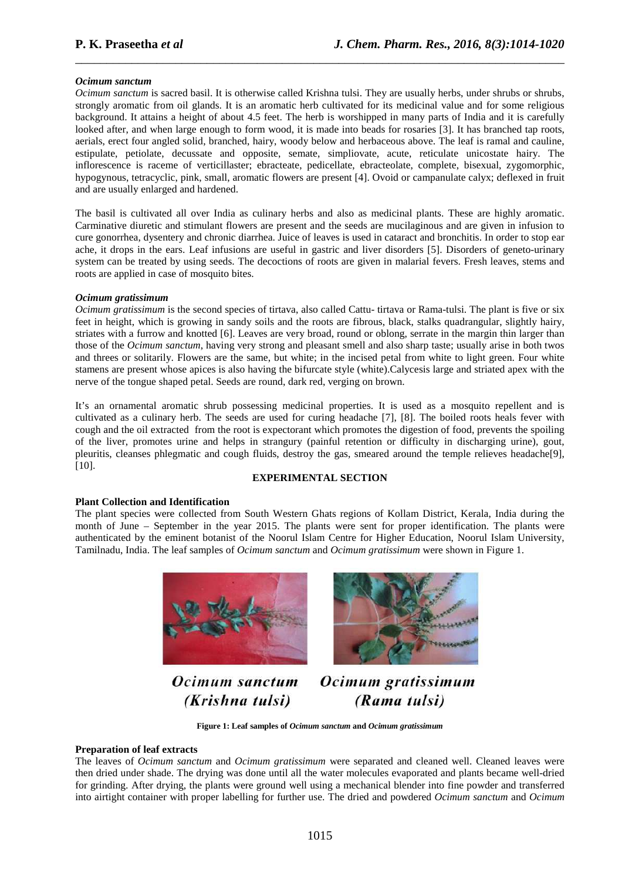#### *Ocimum sanctum*

*Ocimum sanctum* is sacred basil. It is otherwise called Krishna tulsi. They are usually herbs, under shrubs or shrubs, strongly aromatic from oil glands. It is an aromatic herb cultivated for its medicinal value and for some religious background. It attains a height of about 4.5 feet. The herb is worshipped in many parts of India and it is carefully looked after, and when large enough to form wood, it is made into beads for rosaries [3]. It has branched tap roots, aerials, erect four angled solid, branched, hairy, woody below and herbaceous above. The leaf is ramal and cauline, estipulate, petiolate, decussate and opposite, semate, simpliovate, acute, reticulate unicostate hairy. The inflorescence is raceme of verticillaster; ebracteate, pedicellate, ebracteolate, complete, bisexual, zygomorphic, hypogynous, tetracyclic, pink, small, aromatic flowers are present [4]. Ovoid or campanulate calyx; deflexed in fruit and are usually enlarged and hardened.

\_\_\_\_\_\_\_\_\_\_\_\_\_\_\_\_\_\_\_\_\_\_\_\_\_\_\_\_\_\_\_\_\_\_\_\_\_\_\_\_\_\_\_\_\_\_\_\_\_\_\_\_\_\_\_\_\_\_\_\_\_\_\_\_\_\_\_\_\_\_\_\_\_\_\_\_\_\_

The basil is cultivated all over India as culinary herbs and also as medicinal plants. These are highly aromatic. Carminative diuretic and stimulant flowers are present and the seeds are mucilaginous and are given in infusion to cure gonorrhea, dysentery and chronic diarrhea. Juice of leaves is used in cataract and bronchitis. In order to stop ear ache, it drops in the ears. Leaf infusions are useful in gastric and liver disorders [5]. Disorders of geneto-urinary system can be treated by using seeds. The decoctions of roots are given in malarial fevers. Fresh leaves, stems and roots are applied in case of mosquito bites.

#### *Ocimum gratissimum*

*Ocimum gratissimum* is the second species of tirtava, also called Cattu- tirtava or Rama-tulsi. The plant is five or six feet in height, which is growing in sandy soils and the roots are fibrous, black, stalks quadrangular, slightly hairy, striates with a furrow and knotted [6]. Leaves are very broad, round or oblong, serrate in the margin thin larger than those of the *Ocimum sanctum*, having very strong and pleasant smell and also sharp taste; usually arise in both twos and threes or solitarily. Flowers are the same, but white; in the incised petal from white to light green. Four white stamens are present whose apices is also having the bifurcate style (white).Calycesis large and striated apex with the nerve of the tongue shaped petal. Seeds are round, dark red, verging on brown.

It's an ornamental aromatic shrub possessing medicinal properties. It is used as a mosquito repellent and is cultivated as a culinary herb. The seeds are used for curing headache [7], [8]. The boiled roots heals fever with cough and the oil extracted from the root is expectorant which promotes the digestion of food, prevents the spoiling of the liver, promotes urine and helps in strangury (painful retention or difficulty in discharging urine), gout, pleuritis, cleanses phlegmatic and cough fluids, destroy the gas, smeared around the temple relieves headache[9], [10].

### **EXPERIMENTAL SECTION**

### **Plant Collection and Identification**

The plant species were collected from South Western Ghats regions of Kollam District, Kerala, India during the month of June – September in the year 2015. The plants were sent for proper identification. The plants were authenticated by the eminent botanist of the Noorul Islam Centre for Higher Education, Noorul Islam University, Tamilnadu, India. The leaf samples of *Ocimum sanctum* and *Ocimum gratissimum* were shown in Figure 1.



Ocimum sanctum (Krishna tulsi)



Ocimum gratissimum (Rama tulsi)

**Figure 1: Leaf samples of** *Ocimum sanctum* **and** *Ocimum gratissimum*

#### **Preparation of leaf extracts**

The leaves of *Ocimum sanctum* and *Ocimum gratissimum* were separated and cleaned well. Cleaned leaves were then dried under shade. The drying was done until all the water molecules evaporated and plants became well-dried for grinding. After drying, the plants were ground well using a mechanical blender into fine powder and transferred into airtight container with proper labelling for further use. The dried and powdered *Ocimum sanctum* and *Ocimum*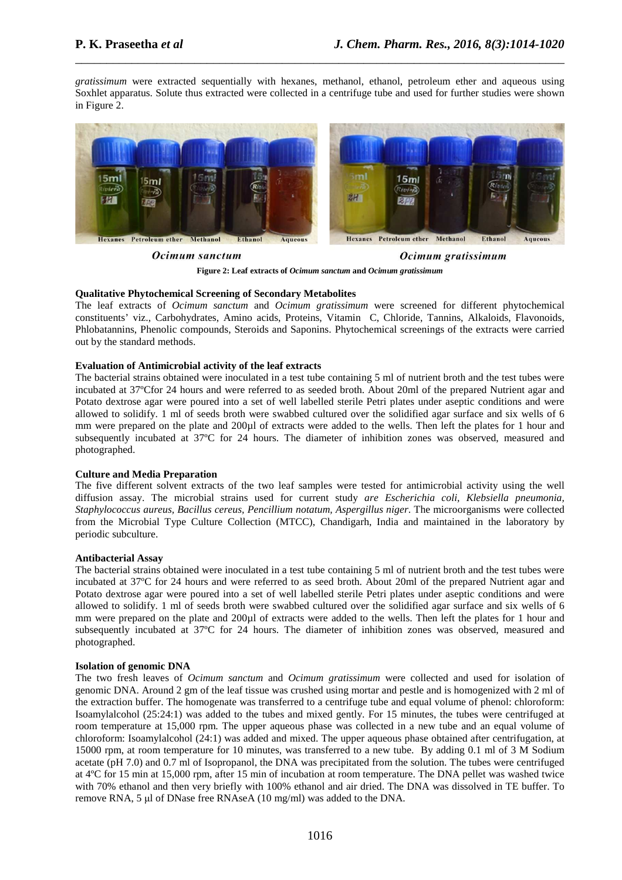*gratissimum* were extracted sequentially with hexanes, methanol, ethanol, petroleum ether and aqueous using Soxhlet apparatus. Solute thus extracted were collected in a centrifuge tube and used for further studies were shown in Figure 2.

\_\_\_\_\_\_\_\_\_\_\_\_\_\_\_\_\_\_\_\_\_\_\_\_\_\_\_\_\_\_\_\_\_\_\_\_\_\_\_\_\_\_\_\_\_\_\_\_\_\_\_\_\_\_\_\_\_\_\_\_\_\_\_\_\_\_\_\_\_\_\_\_\_\_\_\_\_\_



Ocimum sanctum

Ocimum gratissimum

**Figure 2: Leaf extracts of** *Ocimum sanctum* **and** *Ocimum gratissimum*

### **Qualitative Phytochemical Screening of Secondary Metabolites**

The leaf extracts of *Ocimum sanctum* and *Ocimum gratissimum* were screened for different phytochemical constituents' viz., Carbohydrates, Amino acids, Proteins, Vitamin C, Chloride, Tannins, Alkaloids, Flavonoids, Phlobatannins, Phenolic compounds, Steroids and Saponins. Phytochemical screenings of the extracts were carried out by the standard methods.

#### **Evaluation of Antimicrobial activity of the leaf extracts**

The bacterial strains obtained were inoculated in a test tube containing 5 ml of nutrient broth and the test tubes were incubated at 37ºCfor 24 hours and were referred to as seeded broth. About 20ml of the prepared Nutrient agar and Potato dextrose agar were poured into a set of well labelled sterile Petri plates under aseptic conditions and were allowed to solidify. 1 ml of seeds broth were swabbed cultured over the solidified agar surface and six wells of 6 mm were prepared on the plate and 200µl of extracts were added to the wells. Then left the plates for 1 hour and subsequently incubated at 37ºC for 24 hours. The diameter of inhibition zones was observed, measured and photographed.

### **Culture and Media Preparation**

The five different solvent extracts of the two leaf samples were tested for antimicrobial activity using the well diffusion assay. The microbial strains used for current study *are Escherichia coli, Klebsiella pneumonia, Staphylococcus aureus, Bacillus cereus, Pencillium notatum, Aspergillus niger*. The microorganisms were collected from the Microbial Type Culture Collection (MTCC), Chandigarh, India and maintained in the laboratory by periodic subculture.

#### **Antibacterial Assay**

The bacterial strains obtained were inoculated in a test tube containing 5 ml of nutrient broth and the test tubes were incubated at 37ºC for 24 hours and were referred to as seed broth. About 20ml of the prepared Nutrient agar and Potato dextrose agar were poured into a set of well labelled sterile Petri plates under aseptic conditions and were allowed to solidify. 1 ml of seeds broth were swabbed cultured over the solidified agar surface and six wells of 6 mm were prepared on the plate and 200µl of extracts were added to the wells. Then left the plates for 1 hour and subsequently incubated at 37ºC for 24 hours. The diameter of inhibition zones was observed, measured and photographed.

#### **Isolation of genomic DNA**

The two fresh leaves of *Ocimum sanctum* and *Ocimum gratissimum* were collected and used for isolation of genomic DNA. Around 2 gm of the leaf tissue was crushed using mortar and pestle and is homogenized with 2 ml of the extraction buffer. The homogenate was transferred to a centrifuge tube and equal volume of phenol: chloroform: Isoamylalcohol (25:24:1) was added to the tubes and mixed gently. For 15 minutes, the tubes were centrifuged at room temperature at 15,000 rpm. The upper aqueous phase was collected in a new tube and an equal volume of chloroform: Isoamylalcohol (24:1) was added and mixed. The upper aqueous phase obtained after centrifugation, at 15000 rpm, at room temperature for 10 minutes, was transferred to a new tube. By adding 0.1 ml of 3 M Sodium acetate (pH 7.0) and 0.7 ml of Isopropanol, the DNA was precipitated from the solution. The tubes were centrifuged at 4ºC for 15 min at 15,000 rpm, after 15 min of incubation at room temperature. The DNA pellet was washed twice with 70% ethanol and then very briefly with 100% ethanol and air dried. The DNA was dissolved in TE buffer. To remove RNA, 5 µl of DNase free RNAseA (10 mg/ml) was added to the DNA.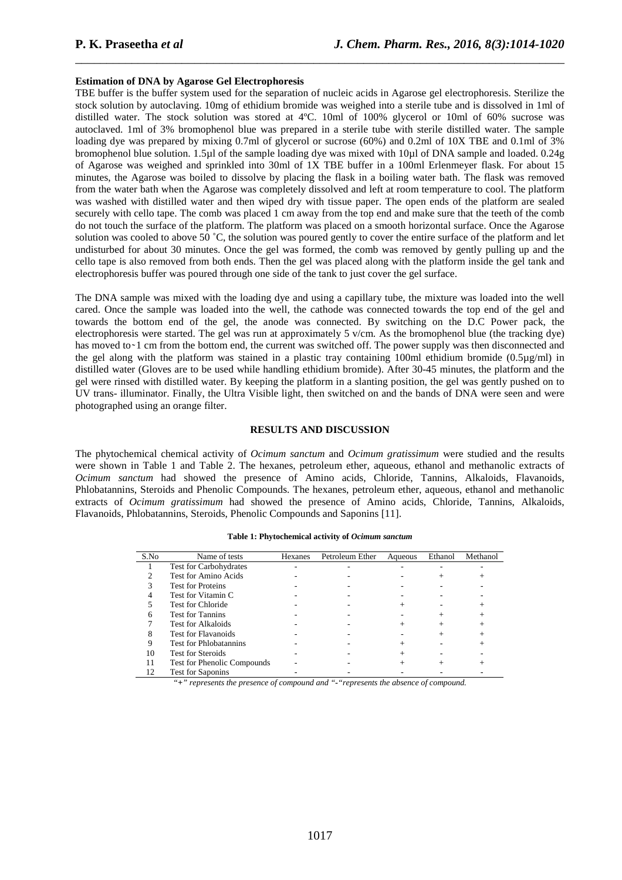#### **Estimation of DNA by Agarose Gel Electrophoresis**

TBE buffer is the buffer system used for the separation of nucleic acids in Agarose gel electrophoresis. Sterilize the stock solution by autoclaving. 10mg of ethidium bromide was weighed into a sterile tube and is dissolved in 1ml of distilled water. The stock solution was stored at 4ºC. 10ml of 100% glycerol or 10ml of 60% sucrose was autoclaved. 1ml of 3% bromophenol blue was prepared in a sterile tube with sterile distilled water. The sample loading dye was prepared by mixing 0.7ml of glycerol or sucrose (60%) and 0.2ml of  $10X$  TBE and 0.1ml of 3% bromophenol blue solution. 1.5µl of the sample loading dye was mixed with 10µl of DNA sample and loaded. 0.24g of Agarose was weighed and sprinkled into 30ml of 1X TBE buffer in a 100ml Erlenmeyer flask. For about 15 minutes, the Agarose was boiled to dissolve by placing the flask in a boiling water bath. The flask was removed from the water bath when the Agarose was completely dissolved and left at room temperature to cool. The platform was washed with distilled water and then wiped dry with tissue paper. The open ends of the platform are sealed securely with cello tape. The comb was placed 1 cm away from the top end and make sure that the teeth of the comb do not touch the surface of the platform. The platform was placed on a smooth horizontal surface. Once the Agarose solution was cooled to above 50 °C, the solution was poured gently to cover the entire surface of the platform and let undisturbed for about 30 minutes. Once the gel was formed, the comb was removed by gently pulling up and the cello tape is also removed from both ends. Then the gel was placed along with the platform inside the gel tank and electrophoresis buffer was poured through one side of the tank to just cover the gel surface.

\_\_\_\_\_\_\_\_\_\_\_\_\_\_\_\_\_\_\_\_\_\_\_\_\_\_\_\_\_\_\_\_\_\_\_\_\_\_\_\_\_\_\_\_\_\_\_\_\_\_\_\_\_\_\_\_\_\_\_\_\_\_\_\_\_\_\_\_\_\_\_\_\_\_\_\_\_\_

The DNA sample was mixed with the loading dye and using a capillary tube, the mixture was loaded into the well cared. Once the sample was loaded into the well, the cathode was connected towards the top end of the gel and towards the bottom end of the gel, the anode was connected. By switching on the D.C Power pack, the electrophoresis were started. The gel was run at approximately 5 v/cm. As the bromophenol blue (the tracking dye) has moved to  $\sim$  1 cm from the bottom end, the current was switched off. The power supply was then disconnected and the gel along with the platform was stained in a plastic tray containing 100ml ethidium bromide  $(0.5\mu g/ml)$  in distilled water (Gloves are to be used while handling ethidium bromide). After 30-45 minutes, the platform and the gel were rinsed with distilled water. By keeping the platform in a slanting position, the gel was gently pushed on to UV trans- illuminator. Finally, the Ultra Visible light, then switched on and the bands of DNA were seen and were photographed using an orange filter.

#### **RESULTS AND DISCUSSION**

The phytochemical chemical activity of *Ocimum sanctum* and *Ocimum gratissimum* were studied and the results were shown in Table 1 and Table 2. The hexanes, petroleum ether, aqueous, ethanol and methanolic extracts of *Ocimum sanctum* had showed the presence of Amino acids, Chloride, Tannins, Alkaloids, Flavanoids, Phlobatannins, Steroids and Phenolic Compounds. The hexanes, petroleum ether, aqueous, ethanol and methanolic extracts of *Ocimum gratissimum* had showed the presence of Amino acids, Chloride, Tannins, Alkaloids, Flavanoids, Phlobatannins, Steroids, Phenolic Compounds and Saponins [11].

| S.No | Name of tests                 | Hexanes | Petroleum Ether | Aqueous | Ethanol | Methanol |
|------|-------------------------------|---------|-----------------|---------|---------|----------|
|      | <b>Test for Carbohydrates</b> |         |                 |         |         |          |
|      | Test for Amino Acids          |         |                 |         |         |          |
|      | <b>Test for Proteins</b>      |         |                 |         |         |          |
| 4    | Test for Vitamin C            |         |                 |         |         |          |
|      | Test for Chloride             |         |                 |         |         |          |
| 6    | <b>Test for Tannins</b>       |         |                 |         | $^+$    | $^{+}$   |
|      | Test for Alkaloids            |         |                 |         | $^+$    |          |
| 8    | <b>Test for Flavanoids</b>    |         |                 |         |         |          |
| 9    | <b>Test for Phlobatannins</b> |         |                 |         |         |          |
| 10   | <b>Test for Steroids</b>      |         |                 |         |         |          |
| 11   | Test for Phenolic Compounds   |         |                 |         |         |          |
| 12   | <b>Test for Saponins</b>      |         |                 |         |         |          |

**Table 1: Phytochemical activity of** *Ocimum sanctum* 

*"+" represents the presence of compound and "-"represents the absence of compound.*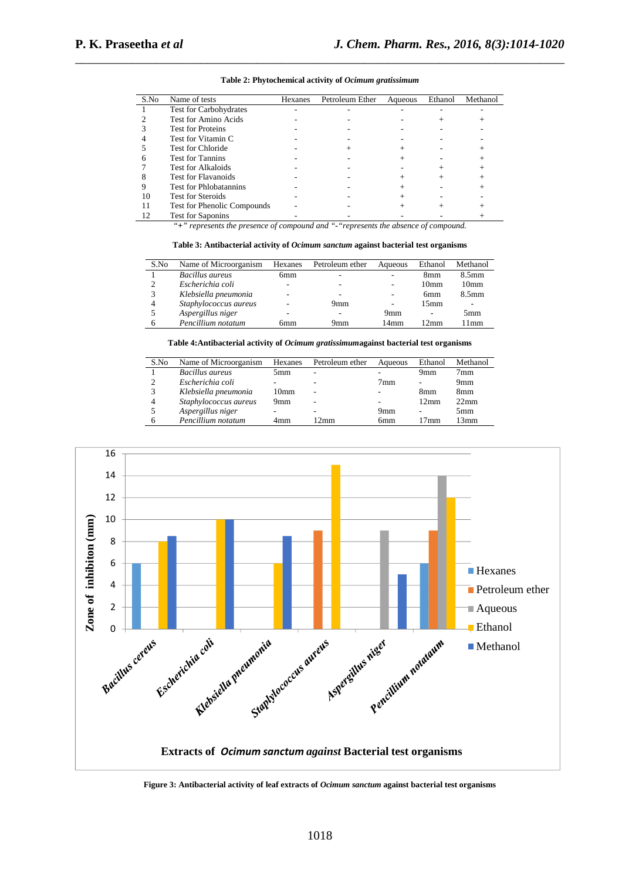| S.No           | Name of tests                 | Hexanes | Petroleum Ether | Aqueous | Ethanol | Methanol |
|----------------|-------------------------------|---------|-----------------|---------|---------|----------|
|                | <b>Test for Carbohydrates</b> |         |                 |         |         |          |
|                | Test for Amino Acids          |         |                 |         |         |          |
| 3              | <b>Test for Proteins</b>      |         |                 |         |         |          |
| $\overline{4}$ | Test for Vitamin C            |         |                 |         |         |          |
| 5              | <b>Test for Chloride</b>      |         |                 |         |         |          |
| 6              | <b>Test for Tannins</b>       |         |                 |         |         |          |
|                | Test for Alkaloids            |         |                 |         |         |          |
| 8              | <b>Test for Flavanoids</b>    |         |                 |         |         |          |
| 9              | <b>Test for Phlobatannins</b> |         |                 |         |         |          |
| 10             | <b>Test for Steroids</b>      |         |                 |         |         |          |
| 11             | Test for Phenolic Compounds   |         |                 |         |         |          |
|                | <b>Test for Saponins</b>      |         |                 |         |         |          |

**Table 2: Phytochemical activity of** *Ocimum gratissimum* 

\_\_\_\_\_\_\_\_\_\_\_\_\_\_\_\_\_\_\_\_\_\_\_\_\_\_\_\_\_\_\_\_\_\_\_\_\_\_\_\_\_\_\_\_\_\_\_\_\_\_\_\_\_\_\_\_\_\_\_\_\_\_\_\_\_\_\_\_\_\_\_\_\_\_\_\_\_\_

*"+" represents the presence of compound and "-"represents the absence of compound.* 

**Table 3: Antibacterial activity of** *Ocimum sanctum* **against bacterial test organisms** 

| S.No | Name of Microorganism  | Hexanes                  | Petroleum ether | Aqueous                  | Ethanol          | Methanol          |
|------|------------------------|--------------------------|-----------------|--------------------------|------------------|-------------------|
|      | <b>Bacillus</b> aureus | 6mm                      | ۰               | ۰                        | 8mm              | 8.5 <sub>mm</sub> |
| ↑    | Escherichia coli       | -                        | -               | ۰                        | 10 <sub>mm</sub> | 10 <sub>mm</sub>  |
| 3    | Klebsiella pneumonia   | $\overline{\phantom{a}}$ | -               | ۰                        | 6 <sub>mm</sub>  | 8.5 <sub>mm</sub> |
| 4    | Staphylococcus aureus  |                          | 9mm             | $\overline{\phantom{a}}$ | 15 <sub>mm</sub> | -                 |
|      | Aspergillus niger      | -                        |                 | 9mm                      | ۰                | 5mm               |
| 6    | Pencillium notatum     | бmm                      | 9mm             | 14mm                     | $12 \text{mm}$   | 1mm               |

#### **Table 4:Antibacterial activity of** *Ocimum gratissimum***against bacterial test organisms**

| S.No | Name of Microorganism | Hexanes          | Petroleum ether | Aqueous | Ethanol | Methanol         |
|------|-----------------------|------------------|-----------------|---------|---------|------------------|
|      | Bacillus aureus       | 5mm              | -               |         | 9mm     | 7mm              |
| ↑    | Escherichia coli      |                  |                 | 7mm     | ۰       | 9 <sub>mm</sub>  |
|      | Klebsiella pneumonia  | 10 <sub>mm</sub> | -               |         | 8mm     | 8mm              |
| 4    | Staphylococcus aureus | 9mm              |                 |         | 12mm    | 22 <sub>mm</sub> |
|      | Aspergillus niger     | -                |                 | 9mm     | ۰       | 5mm              |
|      | Pencillium notatum    | 4mm              | 2mm             | 6mm     | 17mm    | 13mm             |



**Figure 3: Antibacterial activity of leaf extracts of** *Ocimum sanctum* **against bacterial test organisms**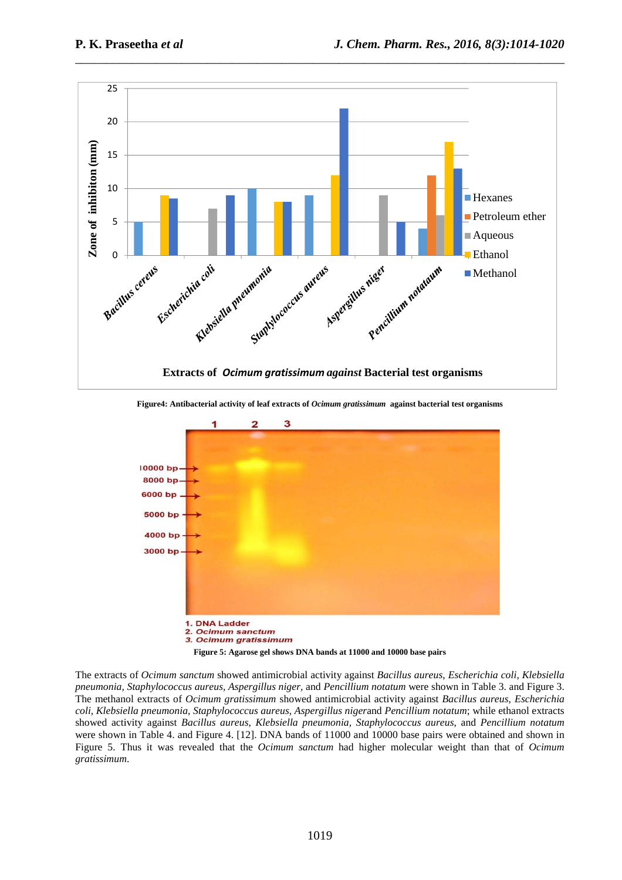

\_\_\_\_\_\_\_\_\_\_\_\_\_\_\_\_\_\_\_\_\_\_\_\_\_\_\_\_\_\_\_\_\_\_\_\_\_\_\_\_\_\_\_\_\_\_\_\_\_\_\_\_\_\_\_\_\_\_\_\_\_\_\_\_\_\_\_\_\_\_\_\_\_\_\_\_\_\_

**Figure4: Antibacterial activity of leaf extracts of** *Ocimum gratissimum* **against bacterial test organisms** 



The extracts of *Ocimum sanctum* showed antimicrobial activity against *Bacillus aureus, Escherichia coli, Klebsiella pneumonia, Staphylococcus aureus, Aspergillus niger,* and *Pencillium notatum* were shown in Table 3. and Figure 3. The methanol extracts of *Ocimum gratissimum* showed antimicrobial activity against *Bacillus aureus, Escherichia coli, Klebsiella pneumonia, Staphylococcus aureus, Aspergillus niger*and *Pencillium notatum*; while ethanol extracts showed activity against *Bacillus aureus, Klebsiella pneumonia, Staphylococcus aureus*, and *Pencillium notatum*  were shown in Table 4. and Figure 4. [12]. DNA bands of 11000 and 10000 base pairs were obtained and shown in Figure 5. Thus it was revealed that the *Ocimum sanctum* had higher molecular weight than that of *Ocimum gratissimum*.